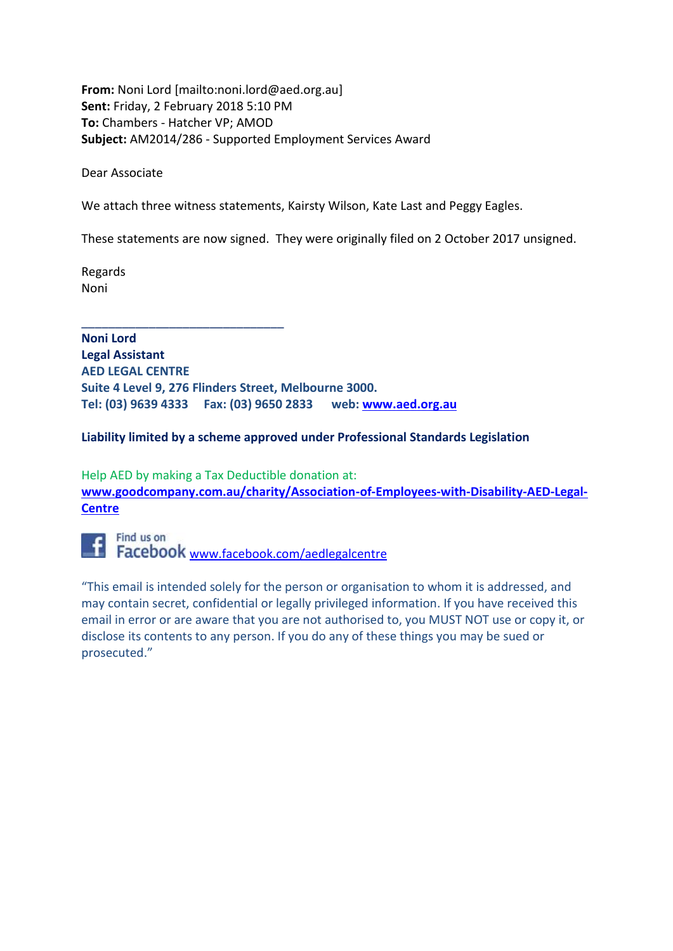**From:** Noni Lord [mailto:noni.lord@aed.org.au] **Sent:** Friday, 2 February 2018 5:10 PM **To:** Chambers - Hatcher VP; AMOD **Subject:** AM2014/286 - Supported Employment Services Award

Dear Associate

We attach three witness statements, Kairsty Wilson, Kate Last and Peggy Eagles.

These statements are now signed. They were originally filed on 2 October 2017 unsigned.

Regards Noni

\_\_\_\_\_\_\_\_\_\_\_\_\_\_\_\_\_\_\_\_\_\_\_\_\_\_\_\_\_\_

**Noni Lord Legal Assistant AED LEGAL CENTRE Suite 4 Level 9, 276 Flinders Street, Melbourne 3000. Tel: (03) 9639 4333 Fax: (03) 9650 2833 web: www.aed.org.au**

#### **Liability limited by a scheme approved under Professional Standards Legislation**

Help AED by making a Tax Deductible donation at: **www.goodcompany.com.au/charity/Association-of-Employees-with-Disability-AED-Legal-Centre**



"This email is intended solely for the person or organisation to whom it is addressed, and may contain secret, confidential or legally privileged information. If you have received this email in error or are aware that you are not authorised to, you MUST NOT use or copy it, or disclose its contents to any person. If you do any of these things you may be sued or prosecuted."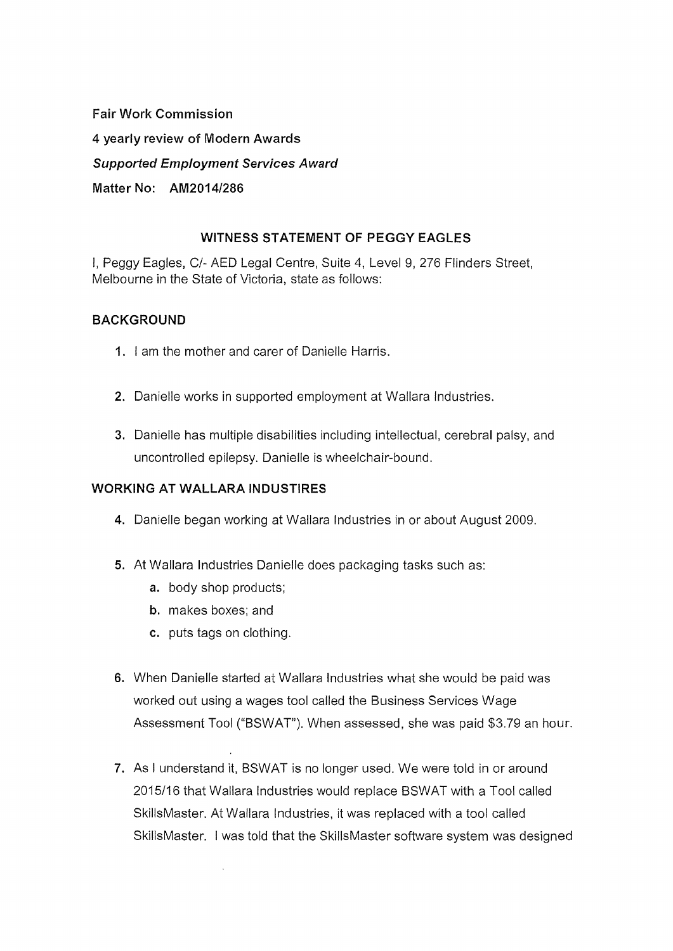**Fair Work Commission 4 yearly review of Modern Awards Supported Employment Services Award Matter No: AM2014/286** 

# **WITNESS STATEMENT OF PEGGY EAGLES**

I, Peggy Eagles, C/- AED Legal Centre, Suite 4, Level 9, 276 Flinders Street, Melbourne in the State of Victoria, state as follows:

# **BACKGROUND**

- **1.** I am the mother and carer of Danielle Harris.
- **2.** Danielle works in supported employment at Wallara Industries.
- **3.** Danielle has multiple disabilities including intellectual, cerebral palsy, and uncontrolled epilepsy. Danielle is wheelchair-bound.

# **WORKING AT WALLARA INDUSTIRES**

- **4.** Danielle began working at Wallara Industries in or about August 2009.
- **5.** At Wallara Industries Danielle does packaging tasks such as:
	- **a.** body shop products;
	- **b.** makes boxes; and
	- **c.** puts tags on clothing.

 $\bar{z}$ 

- **6.** When Danielle started at Wallara Industries what she would be paid was worked out using a wages tool called the Business Services Wage Assessment Tool ("BSWAT"). When assessed, she was paid \$3.79 an hour.
- **7.** As I understand it, BSWAT is no longer used. We were told in or around 2015/16 that Wallara Industries would replace BSWAT with a Tool called SkillsMaster. At Wallara Industries, it was replaced with a tool called SkillsMaster. I was told that the SkillsMaster software system was designed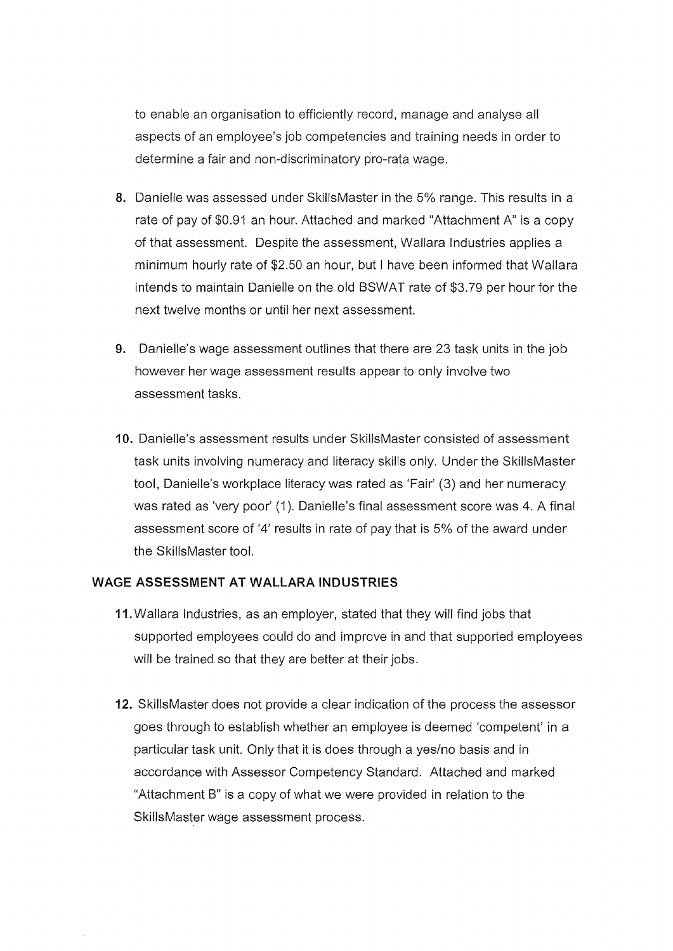to enable an organisation to efficiently record, manage and analyse all aspects of an employee's job competencies and training needs in order to determine a fair and non-discriminatory pro-rata wage.

- 8. Danielle was assessed under SkillsMaster in the 5% range. This results in a rate of pay of \$0.91 an hour. Attached and marked "Attachment A" is a copy of that assessment. Despite the assessment, Wallara Industries applies a minimum hourly rate of \$2.50 an hour, but I have been informed that Wallara intends to maintain Danielle on the old BSWAT rate of \$3.79 per hour for the next twelve months or until her next assessment.
- 9. Danielle's wage assessment outlines that there are 23 task units in the job however her wage assessment results appear to only involve two assessment tasks.
- **10.** Danielle's assessment results under SkillsMaster consisted of assessment task units involving numeracy and literacy skills only. Under the Skills Master tool, Danielle's workplace literacy was rated as 'Fair' (3) and her numeracy was rated as 'very poor' (1). Danielle's final assessment score was 4. A final assessment score of '4' results in rate of pay that is 5% of the award under the Skills Master tool.

#### **WAGE ASSESSMENT AT WALLARA INDUSTRIES**

- 11. Wallara Industries, as an employer, stated that they will find jobs that supported employees could do and improve in and that supported employees will be trained so that they are better at their jobs.
- 12. SkillsMaster does not provide a clear indication of the process the assessor goes through to establish whether an employee is deemed 'competent' in a particular task unit. Only that it is does through a yes/no basis and in accordance with Assessor Competency Standard. Attached and marked "Attachment B" is a copy of what we were provided in relation to the SkillsMaster wage assessment process.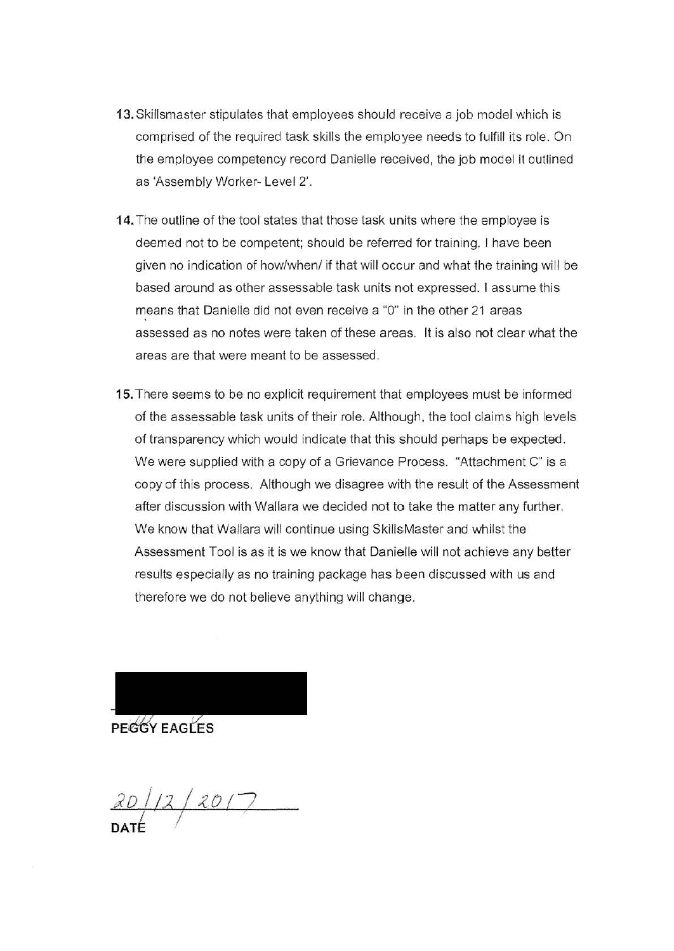- 13. Skillsmaster stipulates that employees should receive a job model which is comprised of the required task skills the employee needs to fulfill its role. On the employee competency record Oanielle received, the job model it outlined as 'Assembly Worker- Level 2'.
- 14. The outline of the tool states that those task units where the employee is deemed not to be competent; should be referred for training. I have been given no indication of how/when/ if that will occur and what the training will be based around as other assessable task units not expressed. I assume this means that Danielle did not even receive a "0" in the other 21 areas assessed as no notes were taken of these areas. It is also not clear what the areas are that were meant to be assessed.
- 15. There seems to be no explicit requirement that employees must be informed of the assessable task units of their role. Although, the tool claims high levels of transparency which would indicate that this should perhaps be expected . We were supplied with a copy of a Grievance Process. "Attachment C" is a copy of this process. Although we disagree with the result of the Assessment after discussion with Wallara we decided not to take the matter any further. We know that Wallara will continue using Skills Master and whilst the Assessment Tool is as it is we know that Danielle will not achieve any better results especially as no training package has been discussed with us and therefore we do not believe anything will change.



*JD / 1:2* /~D/7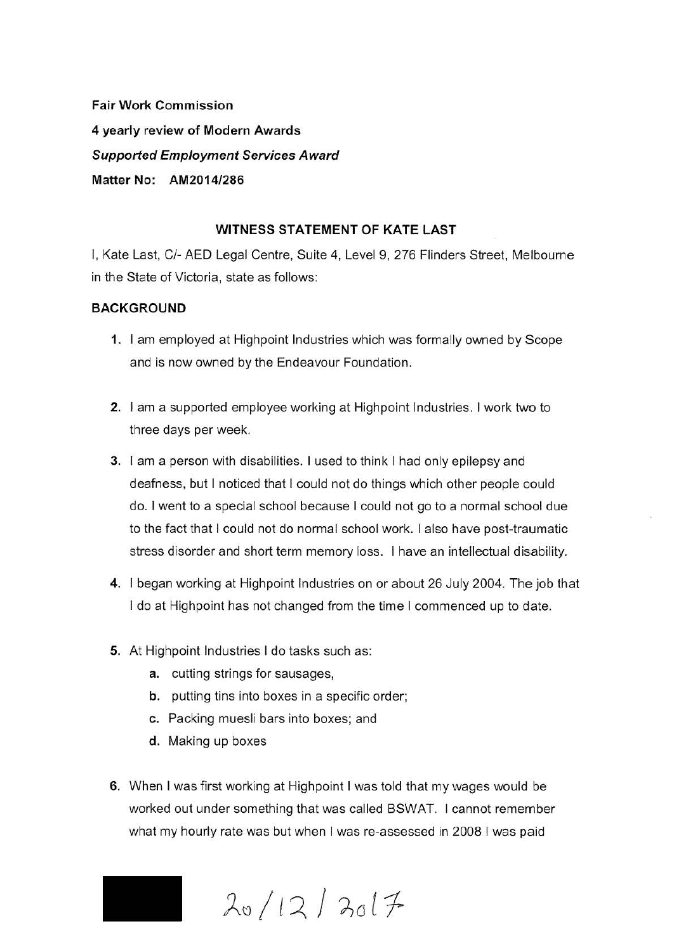**Fair Work Commission 4 yearly review of Modern Awards Supported Employment Services Award Matter No: AM2014/286** 

## **WITNESS STATEMENT OF KATE LAST**

I, Kate Last, C/- AED Legal Centre, Suite 4, Level 9, 276 Flinders Street, Melbourne in the State of Victoria, state as follows:

#### **BACKGROUND**

- **1.** I am employed at Highpoint Industries which was formally owned by Scope and is now owned by the Endeavour Foundation.
- **2.** I am a supported employee working at Highpoint Industries. I work two to three days per week.
- **3.** I am a person with disabilities. I used to think I had only epilepsy and deafness, but I noticed that I could not do things which other people could do. I went to a special school because I could not go to a normal school due to the fact that I could not do normal school work. I also have post-traumatic stress disorder and short term memory loss. I have an intellectual disability.
- **4.** I began working at Highpoint Industries on or about 26 July 2004. The job that I do at Highpoint has not changed from the time I commenced up to date.
- **5.** At Highpoint Industries I do tasks such as:
	- **a.** cutting strings for sausages,
	- **b.** putting tins into boxes in a specific order;
	- **c.** Packing muesli bars into boxes; and
	- **d.** Making up boxes
- **6.** When I was first working at Highpoint I was told that my wages would be worked out under something that was called BSWAT. I cannot remember what my hourly rate was but when I was re-assessed in 2008 I was paid

 $20/12/3017$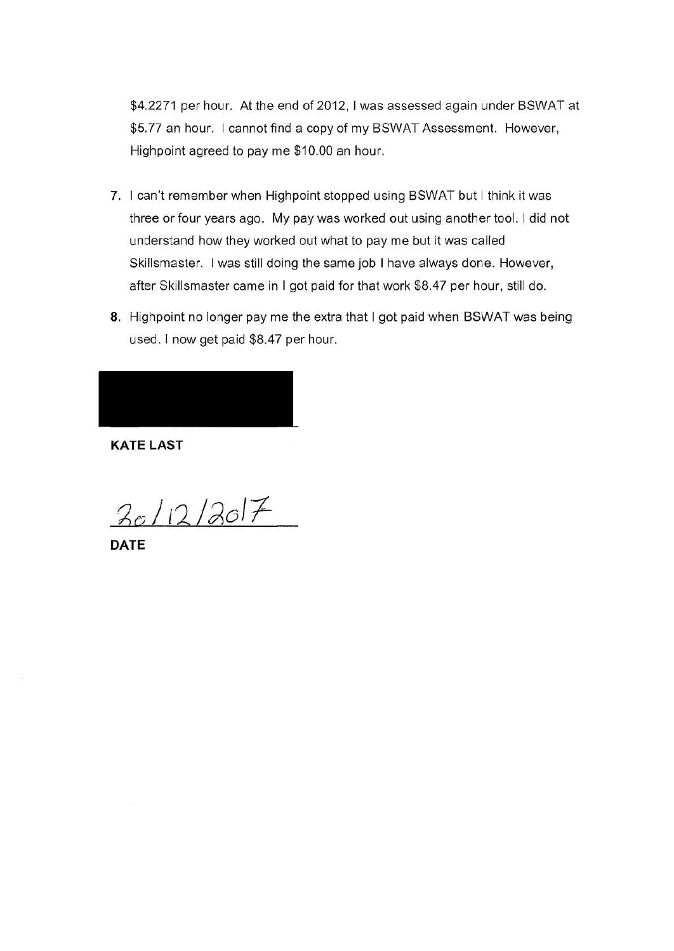\$4.2271 per hour. At the end of 2012, I was assessed again under BSWAT at \$5.77 an hour. I cannot find a copy of my BSWAT Assessment. However, Highpoint agreed to pay me \$10.00 an hour.

- 7. I can't remember when Highpoint stopped using BSWAT but I think it was three or four years ago. My pay was worked out using another tool. I did not understand how they worked out what to pay me but it was called Skillsmaster. I was still doing the same job I have always done. However, after Skillsmaster came in I got paid for that work \$8.47 per hour, still do.
- 8. Highpoint no longer pay me the extra that I got paid when BSWAT was being used. I now get paid \$8.47 per hour.

**KATE LAST** 

 $20/12/207$ 

**DATE**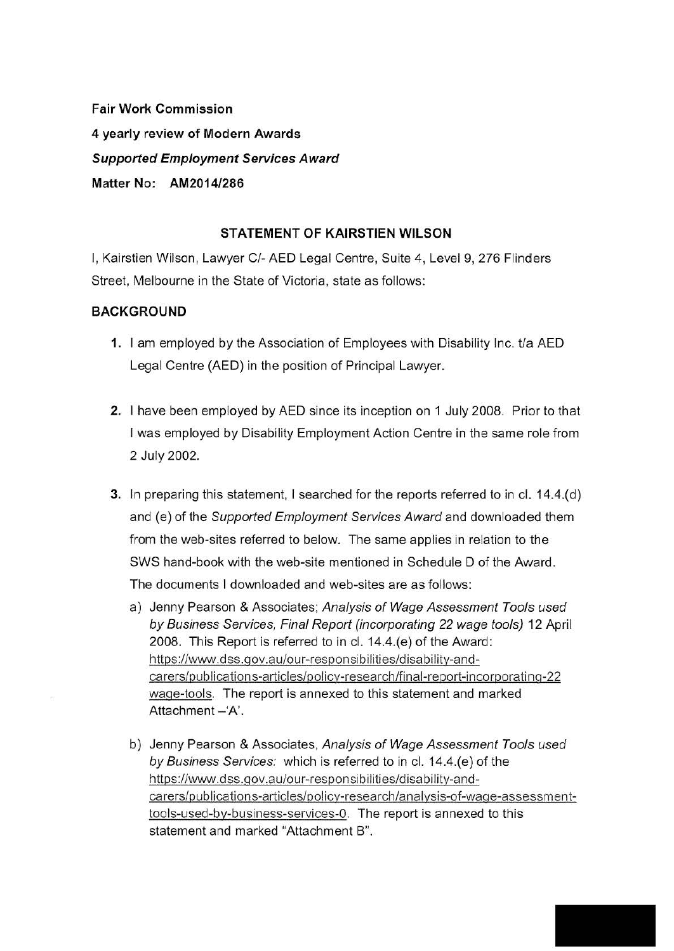**Fair Work Commission 4 yearly review of Modern Awards Supported Employment Services Award Matter No: AM20141286** 

## **STATEMENT OF KAIRSTIEN WILSON**

I, Kairstien Wilson, Lawyer C/- AED Legal Centre, Suite 4, Level 9, 276 Flinders Street, Melbourne in the State of Victoria, state as follows:

## **BACKGROUND**

- **1.** I am employed by the Association of Employees with Disability Inc. t/a AED Legal Centre (AED) in the position of Principal Lawyer.
- **2.** I have been employed by AED since its inception on 1 July 2008. Prior to that I was employed by Disability Employment Action Centre in the same role from 2 July 2002.
- **3.** In preparing this statement, I searched for the reports referred to in cl. 14.4.(d) and (e) of the Supported Employment Services Award and downloaded them from the web-sites referred to below. The same applies in relation to the SWS hand-book with the web-site mentioned in Schedule D of the Award. The documents I downloaded and web-sites are as follows:
	- a) Jenny Pearson & Associates; Analysis of Wage Assessment Tools used by Business Services, Final Report (incorporating 22 wage tools) 12 April 2008. This Report is referred to in cl. 14.4.(e) of the Award: https://www.dss.qov.au/our-responsibilities/disability-andcarers/publications-articles/policy-research/final-report-incorporating-22 wage-tools. The report is annexed to this statement and marked Attachment -'A'.
	- b) Jenny Pearson & Associates, Analysis of Wage Assessment Tools used by Business Services: which is referred to in cl. 14.4.(e) of the https://www.dss.qov.au/our-responsibilities/disability-andcarers/publications-articles/policy-research/analysis-of-wage-assessmenttools-used-by-business-services-0. The report is annexed to this statement and marked "Attachment B".